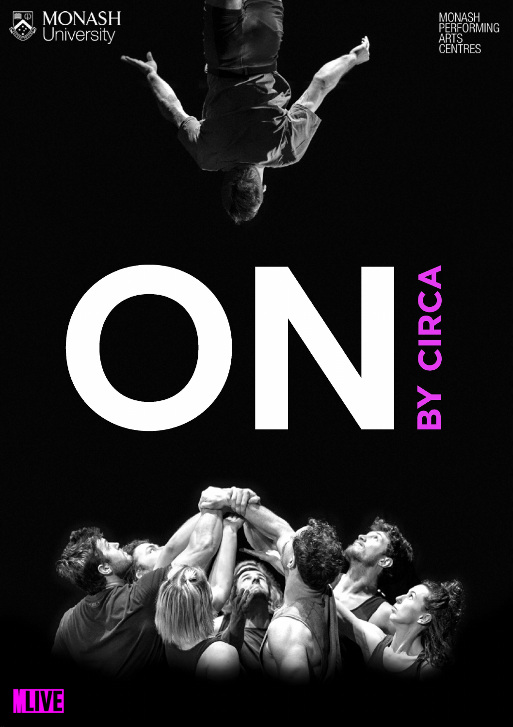

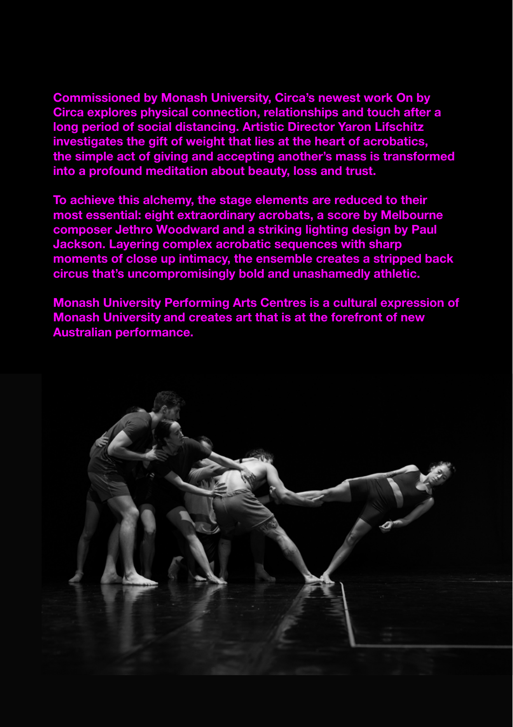**Commissioned by Monash University, Circa's newest work On by Circa explores physical connection, relationships and touch after a long period of social distancing. Artistic Director Yaron Lifschitz investigates the gift of weight that lies at the heart of acrobatics, the simple act of giving and accepting another's mass is transformed into a profound meditation about beauty, loss and trust.** 

**To achieve this alchemy, the stage elements are reduced to their most essential: eight extraordinary acrobats, a score by Melbourne composer Jethro Woodward and a striking lighting design by Paul Jackson. Layering complex acrobatic sequences with sharp moments of close up intimacy, the ensemble creates a stripped back circus that's uncompromisingly bold and unashamedly athletic.**

**Monash University Performing Arts Centres is a cultural expression of Monash University and creates art that is at the forefront of new Australian performance.**

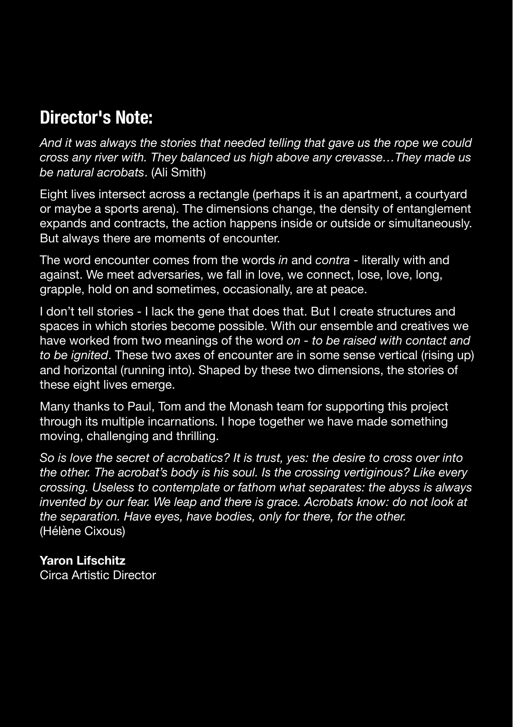## **Director's Note:**

*And it was always the stories that needed telling that gave us the rope we could cross any river with. They balanced us high above any crevasse…They made us be natural acrobats*. (Ali Smith)

Eight lives intersect across a rectangle (perhaps it is an apartment, a courtyard or maybe a sports arena). The dimensions change, the density of entanglement expands and contracts, the action happens inside or outside or simultaneously. But always there are moments of encounter.

The word encounter comes from the words *in* and *contra* - literally with and against. We meet adversaries, we fall in love, we connect, lose, love, long, grapple, hold on and sometimes, occasionally, are at peace.

I don't tell stories - I lack the gene that does that. But I create structures and spaces in which stories become possible. With our ensemble and creatives we have worked from two meanings of the word *on - to be raised with contact and to be ignited*. These two axes of encounter are in some sense vertical (rising up) and horizontal (running into). Shaped by these two dimensions, the stories of these eight lives emerge.

Many thanks to Paul, Tom and the Monash team for supporting this project through its multiple incarnations. I hope together we have made something moving, challenging and thrilling.

*So is love the secret of acrobatics? It is trust, yes: the desire to cross over into the other. The acrobat's body is his soul. Is the crossing vertiginous? Like every crossing. Useless to contemplate or fathom what separates: the abyss is always*  invented by our fear. We leap and there is grace. Acrobats know: do not look at *the separation. Have eyes, have bodies, only for there, for the other.* (Hélène Cixous)

### **Yaron Lifschitz**

Circa Artistic Director